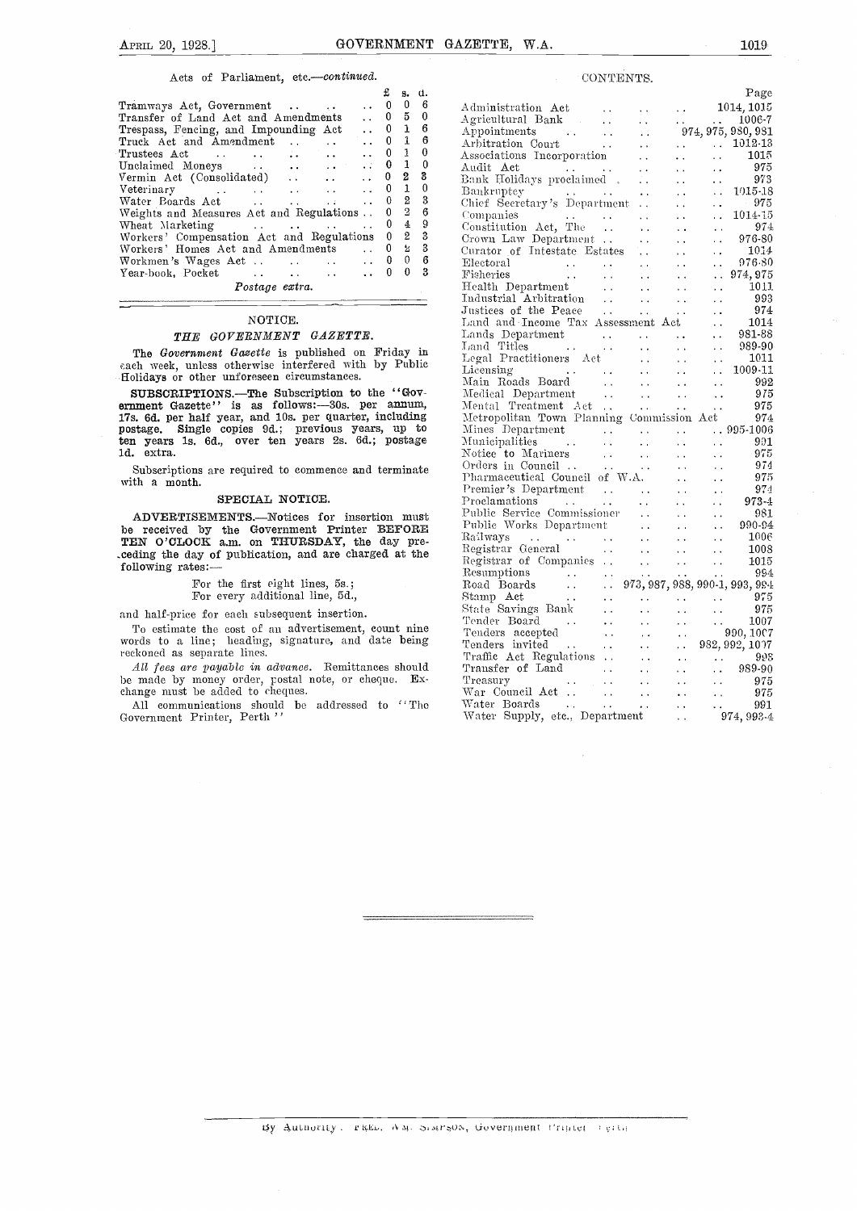#### Acts of Parliament, etc.-continued.

|                                                                                                                                                                                                                                | £                | s.                | d.  |           |
|--------------------------------------------------------------------------------------------------------------------------------------------------------------------------------------------------------------------------------|------------------|-------------------|-----|-----------|
| Tramways Act, Government                                                                                                                                                                                                       | 0                | 0                 | - 6 | А         |
| Transfer of Land Act and Amendments                                                                                                                                                                                            |                  | $0\quad 5\quad 0$ |     | А         |
| Trespass, Fencing, and Impounding Act                                                                                                                                                                                          |                  | $0\quad 1\quad 6$ |     | Α         |
| Truck Act and Amendment<br>$\ddot{\phantom{a}}$                                                                                                                                                                                | $0\quad 1$       |                   | - 6 | $\Lambda$ |
| $\mathcal{L}$ . The set of $\mathcal{L}$<br>Trustees Act<br>$\cdots$                                                                                                                                                           |                  | 0 <sub>1</sub>    | 0   | A         |
|                                                                                                                                                                                                                                | $\therefore$ 0 1 |                   | 0   | Α         |
|                                                                                                                                                                                                                                | $\mathbf{0}$     | $2 \quad 3$       |     | B:        |
|                                                                                                                                                                                                                                |                  | 0 <sub>1</sub>    | 0   | В         |
| Water Boards Act<br>$4.4 - 1.7$                                                                                                                                                                                                |                  | $\ldots$ 0 2 3    |     | CI        |
| Weights and Measures Act and Regulations . 0                                                                                                                                                                                   |                  | $^{2}$            | 6   | $\circ$   |
| Wheat Marketing Theory and the contract of the set of the set of the set of the set of the set of the set of the set of the set of the set of the set of the set of the set of the set of the set of the set of the set of the | 0                | 4                 | - 9 | C.        |
| Workers' Compensation Act and Regulations 0 2                                                                                                                                                                                  |                  |                   | - 3 | C:        |
| Workers' Homes Act and Amendments                                                                                                                                                                                              | $\ldots$ 0       | 乞                 | - 3 | Сı        |
|                                                                                                                                                                                                                                |                  |                   | 6   | E         |
| Year-book, Pocket<br>and the state of the state of the state of                                                                                                                                                                | 0                | 0                 | 3   | F         |
| Postage extra.                                                                                                                                                                                                                 |                  |                   |     | Η         |

#### NOTICE.

#### THE GOVERNMENT GAZETTE.

The Government Gazette is published on Friday in each week, unless otherwise interfered with by Public Holidays or other unforeseen circumstances.

SUBSCRIPTIONS.—The Subscription to the "Government Gazette" is as follows: -30s. per annum, Mentangler Mentangler and 10s. per quarter, including Metro postage. Single copies 9d.; previous years, up to Mines ten years 1s. 6d., over ten years 2s. 6d.; postage Mu ld. extra.

Subscriptions are required to commence and terminate with a month.

### SPECIAL NOTICE.

ADVERTISEMENTS.-Notices for insertion must be received by the Government Printer BEFORE  $\frac{1}{10}$   $\frac{1}{10}$  Westermann TEN O'CLOCK a.m. on THURSDAY, the day pre-- ceding the day of publication, and are charged at the following rates:

For the first eight lines, 5s.; For every additional line, 5d.,

and half-price for each subsequent insertion.

To estimate the cost of an advertisement, count nine words to a line; heading, signature, and date being reckoned as separate lines.

All fees are payable in advance. Remittances should be made by money order, postal note, or cheque. Exchange must be added to cheques.

All communications should be addressed to "The Water Government Printer, Perth"

| CONTENTS.<br>Page                                                                                                                                                                                                                                                                                                                                                                                                                                     |  |
|-------------------------------------------------------------------------------------------------------------------------------------------------------------------------------------------------------------------------------------------------------------------------------------------------------------------------------------------------------------------------------------------------------------------------------------------------------|--|
|                                                                                                                                                                                                                                                                                                                                                                                                                                                       |  |
| $\begin{tabular}{l c c c c c} \multicolumn{1}{c}{\textbf{A}}\multicolumn{1}{c}{\textbf{A}}\multicolumn{1}{c}{\textbf{A}}\multicolumn{1}{c}{\textbf{A}}\multicolumn{1}{c}{\textbf{A}}\multicolumn{1}{c}{\textbf{A}}\multicolumn{1}{c}{\textbf{A}}\multicolumn{1}{c}{\textbf{A}}\multicolumn{1}{c}{\textbf{A}}\multicolumn{1}{c}{\textbf{A}}\multicolumn{1}{c}{\textbf{A}}\multicolumn{1}{c}{\textbf{A}}\multicolumn{1}{c}{\textbf{A}}\multicolumn{1}{$ |  |
|                                                                                                                                                                                                                                                                                                                                                                                                                                                       |  |
|                                                                                                                                                                                                                                                                                                                                                                                                                                                       |  |
|                                                                                                                                                                                                                                                                                                                                                                                                                                                       |  |
|                                                                                                                                                                                                                                                                                                                                                                                                                                                       |  |
|                                                                                                                                                                                                                                                                                                                                                                                                                                                       |  |
|                                                                                                                                                                                                                                                                                                                                                                                                                                                       |  |
|                                                                                                                                                                                                                                                                                                                                                                                                                                                       |  |
|                                                                                                                                                                                                                                                                                                                                                                                                                                                       |  |
|                                                                                                                                                                                                                                                                                                                                                                                                                                                       |  |
|                                                                                                                                                                                                                                                                                                                                                                                                                                                       |  |
|                                                                                                                                                                                                                                                                                                                                                                                                                                                       |  |
|                                                                                                                                                                                                                                                                                                                                                                                                                                                       |  |
|                                                                                                                                                                                                                                                                                                                                                                                                                                                       |  |
|                                                                                                                                                                                                                                                                                                                                                                                                                                                       |  |
|                                                                                                                                                                                                                                                                                                                                                                                                                                                       |  |
|                                                                                                                                                                                                                                                                                                                                                                                                                                                       |  |
|                                                                                                                                                                                                                                                                                                                                                                                                                                                       |  |
|                                                                                                                                                                                                                                                                                                                                                                                                                                                       |  |
|                                                                                                                                                                                                                                                                                                                                                                                                                                                       |  |
|                                                                                                                                                                                                                                                                                                                                                                                                                                                       |  |
|                                                                                                                                                                                                                                                                                                                                                                                                                                                       |  |
|                                                                                                                                                                                                                                                                                                                                                                                                                                                       |  |
|                                                                                                                                                                                                                                                                                                                                                                                                                                                       |  |
|                                                                                                                                                                                                                                                                                                                                                                                                                                                       |  |
| Mental Department<br>Mental Treatment Act     975<br>Metropolitan Town Planning Commission Act 974<br>Mines Department                                                                                                                                                                                                                                                                                                                                |  |
|                                                                                                                                                                                                                                                                                                                                                                                                                                                       |  |
|                                                                                                                                                                                                                                                                                                                                                                                                                                                       |  |
|                                                                                                                                                                                                                                                                                                                                                                                                                                                       |  |
|                                                                                                                                                                                                                                                                                                                                                                                                                                                       |  |
|                                                                                                                                                                                                                                                                                                                                                                                                                                                       |  |
|                                                                                                                                                                                                                                                                                                                                                                                                                                                       |  |
|                                                                                                                                                                                                                                                                                                                                                                                                                                                       |  |
|                                                                                                                                                                                                                                                                                                                                                                                                                                                       |  |
|                                                                                                                                                                                                                                                                                                                                                                                                                                                       |  |
|                                                                                                                                                                                                                                                                                                                                                                                                                                                       |  |
|                                                                                                                                                                                                                                                                                                                                                                                                                                                       |  |
|                                                                                                                                                                                                                                                                                                                                                                                                                                                       |  |
|                                                                                                                                                                                                                                                                                                                                                                                                                                                       |  |
|                                                                                                                                                                                                                                                                                                                                                                                                                                                       |  |
|                                                                                                                                                                                                                                                                                                                                                                                                                                                       |  |
|                                                                                                                                                                                                                                                                                                                                                                                                                                                       |  |
| Metropolitan Town Planning Commission Act 974<br>Metropolitan Town Planning Commission Act 974<br>Mines Department<br>Corder to Mariners<br>Corders in Council<br>Corders in Council<br>Corders in Council<br>Corders in Council<br>Corders in                                                                                                                                                                                                        |  |
|                                                                                                                                                                                                                                                                                                                                                                                                                                                       |  |
|                                                                                                                                                                                                                                                                                                                                                                                                                                                       |  |
|                                                                                                                                                                                                                                                                                                                                                                                                                                                       |  |
|                                                                                                                                                                                                                                                                                                                                                                                                                                                       |  |
|                                                                                                                                                                                                                                                                                                                                                                                                                                                       |  |
|                                                                                                                                                                                                                                                                                                                                                                                                                                                       |  |
| Treasury 975<br>War Council Act<br>Water Boards (1995)<br>Water Supply, etc., Department (1974, 993-4)                                                                                                                                                                                                                                                                                                                                                |  |

ty Authority. rath. AM. Simrson, Government Printer reith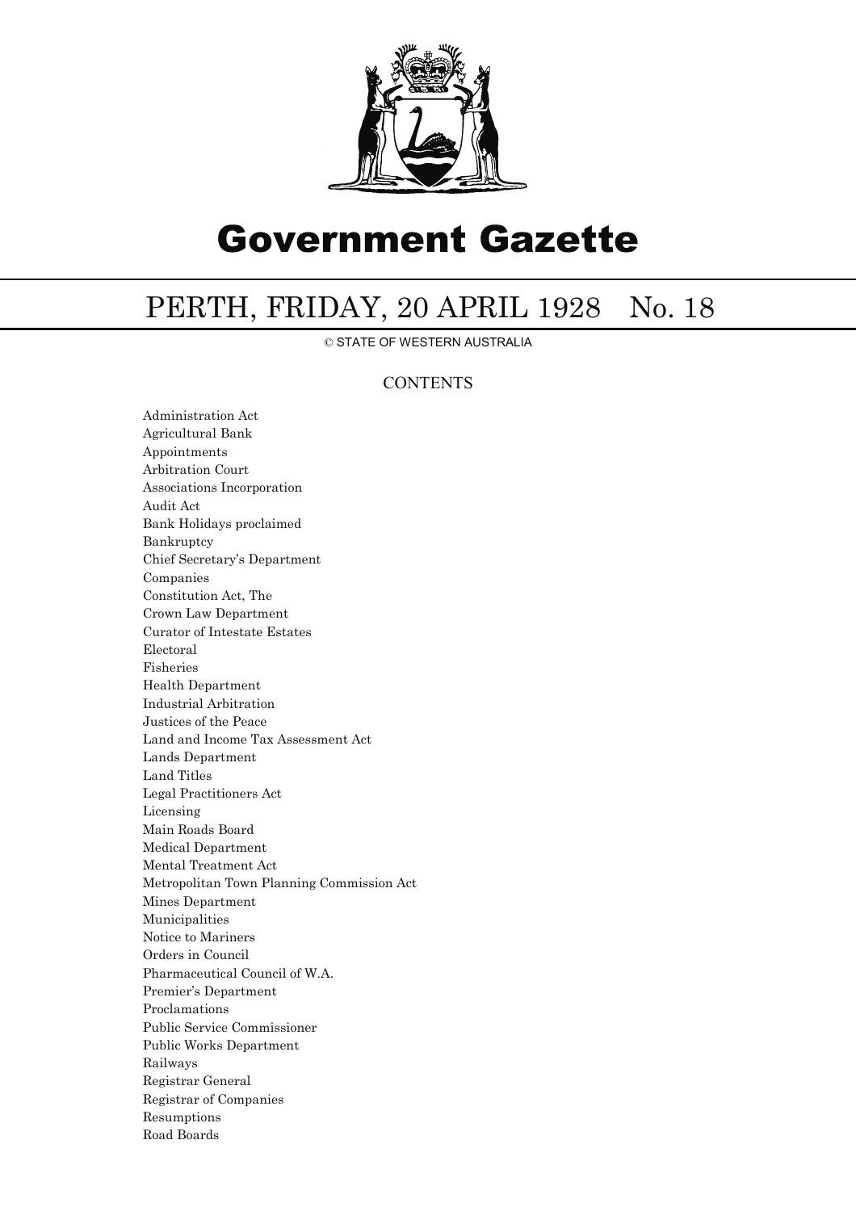

# Government Gazette

# PERTH, FRIDAY, 20 APRIL 1928 No. 18

© STATE OF WESTERN AUSTRALIA

## **CONTENTS**

Administration Act Agricultural Bank Appointments Arbitration Court Associations Incorporation Audit Act Bank Holidays proclaimed Bankruptcy Chief Secretary's Department Companies Constitution Act, The Crown Law Department Curator of Intestate Estates Electoral Fisheries Health Department Industrial Arbitration Justices of the Peace Land and Income Tax Assessment Act Lands Department Land Titles Legal Practitioners Act Licensing Main Roads Board Medical Department Mental Treatment Act Metropolitan Town Planning Commission Act Mines Department Municipalities Notice to Mariners Orders in Council Pharmaceutical Council of W.A. Premier's Department Proclamations Public Service Commissioner Public Works Department Railways Registrar General Registrar of Companies Resumptions Road Boards